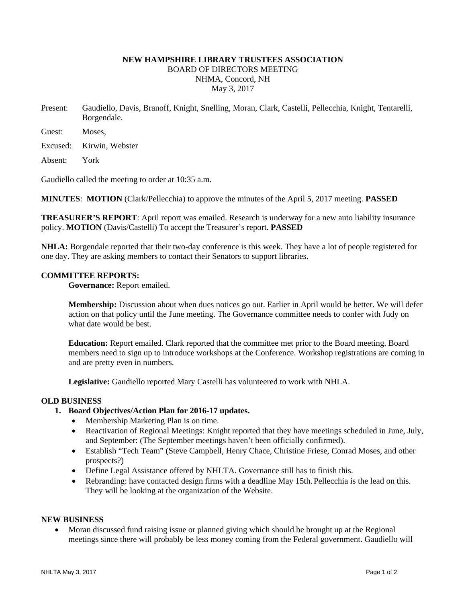# **NEW HAMPSHIRE LIBRARY TRUSTEES ASSOCIATION**  BOARD OF DIRECTORS MEETING NHMA, Concord, NH May 3, 2017

Present: Gaudiello, Davis, Branoff, Knight, Snelling, Moran, Clark, Castelli, Pellecchia, Knight, Tentarelli, Borgendale.

Guest: Moses,

Excused: Kirwin, Webster

Absent: York

Gaudiello called the meeting to order at 10:35 a.m.

**MINUTES**: **MOTION** (Clark/Pellecchia) to approve the minutes of the April 5, 2017 meeting. **PASSED**

**TREASURER'S REPORT**: April report was emailed. Research is underway for a new auto liability insurance policy. **MOTION** (Davis/Castelli) To accept the Treasurer's report. **PASSED**

**NHLA:** Borgendale reported that their two-day conference is this week. They have a lot of people registered for one day. They are asking members to contact their Senators to support libraries.

# **COMMITTEE REPORTS:**

**Governance:** Report emailed.

**Membership:** Discussion about when dues notices go out. Earlier in April would be better. We will defer action on that policy until the June meeting. The Governance committee needs to confer with Judy on what date would be best.

**Education:** Report emailed. Clark reported that the committee met prior to the Board meeting. Board members need to sign up to introduce workshops at the Conference. Workshop registrations are coming in and are pretty even in numbers.

**Legislative:** Gaudiello reported Mary Castelli has volunteered to work with NHLA.

#### **OLD BUSINESS**

- **1. Board Objectives/Action Plan for 2016-17 updates.** 
	- Membership Marketing Plan is on time.
	- Reactivation of Regional Meetings: Knight reported that they have meetings scheduled in June, July, and September: (The September meetings haven't been officially confirmed).
	- Establish "Tech Team" (Steve Campbell, Henry Chace, Christine Friese, Conrad Moses, and other prospects?)
	- Define Legal Assistance offered by NHLTA. Governance still has to finish this.
	- Rebranding: have contacted design firms with a deadline May 15th. Pellecchia is the lead on this. They will be looking at the organization of the Website.

# **NEW BUSINESS**

 Moran discussed fund raising issue or planned giving which should be brought up at the Regional meetings since there will probably be less money coming from the Federal government. Gaudiello will